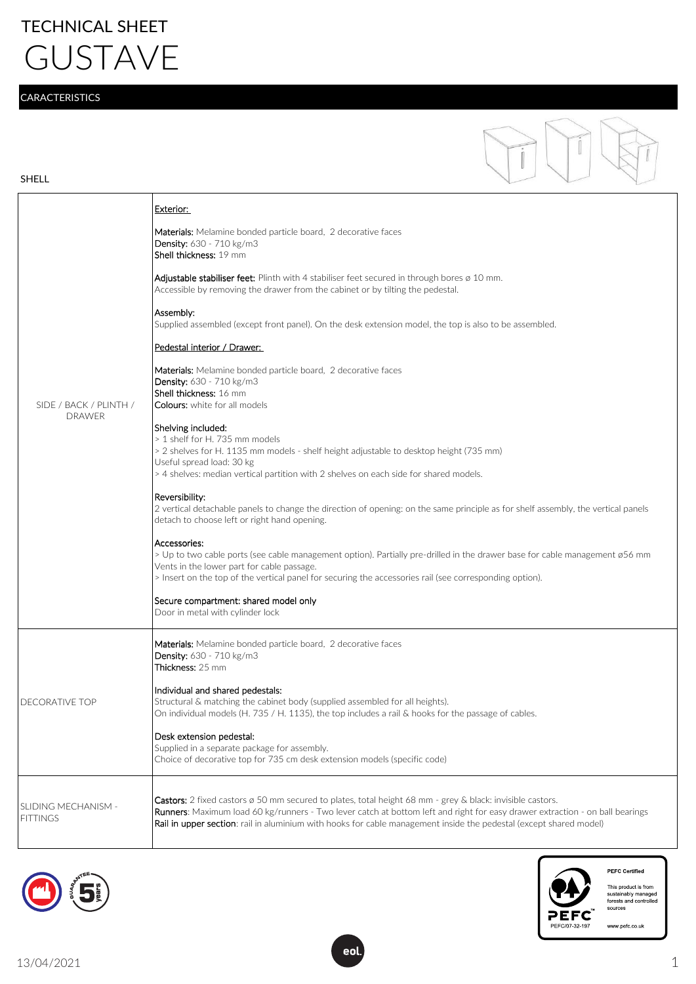## TECHNICAL SHEET GUSTAVE

## **CARACTERISTICS**

DRAWER

SHELL



Materials: Melamine bonded particle board, 2 decorative faces Density: 630 - 710 kg/m3 Thickness: 25 mm

| <b>IDECORATIVE TOP</b>                         | Individual and shared pedestals:<br>Structural & matching the cabinet body (supplied assembled for all heights).<br>On individual models (H. 735 / H. 1135), the top includes a rail & hooks for the passage of cables.                                                                                                                                                                   |  |
|------------------------------------------------|-------------------------------------------------------------------------------------------------------------------------------------------------------------------------------------------------------------------------------------------------------------------------------------------------------------------------------------------------------------------------------------------|--|
|                                                | Desk extension pedestal:<br>Supplied in a separate package for assembly.<br>Choice of decorative top for 735 cm desk extension models (specific code)                                                                                                                                                                                                                                     |  |
| <b>ISLIDING MECHANISM -</b><br><b>FITTINGS</b> | <b>Castors:</b> 2 fixed castors $\varnothing$ 50 mm secured to plates, total height 68 mm - grey & black: invisible castors.<br><b>Runners:</b> Maximum load 60 kg/runners - Two lever catch at bottom left and right for easy drawer extraction - on ball bearings<br>Rail in upper section: rail in aluminium with hooks for cable management inside the pedestal (except shared model) |  |





**PFFC Certified** This product is from sustainably managed<br>forests and controlled<br>sources

www.pefc.co.uk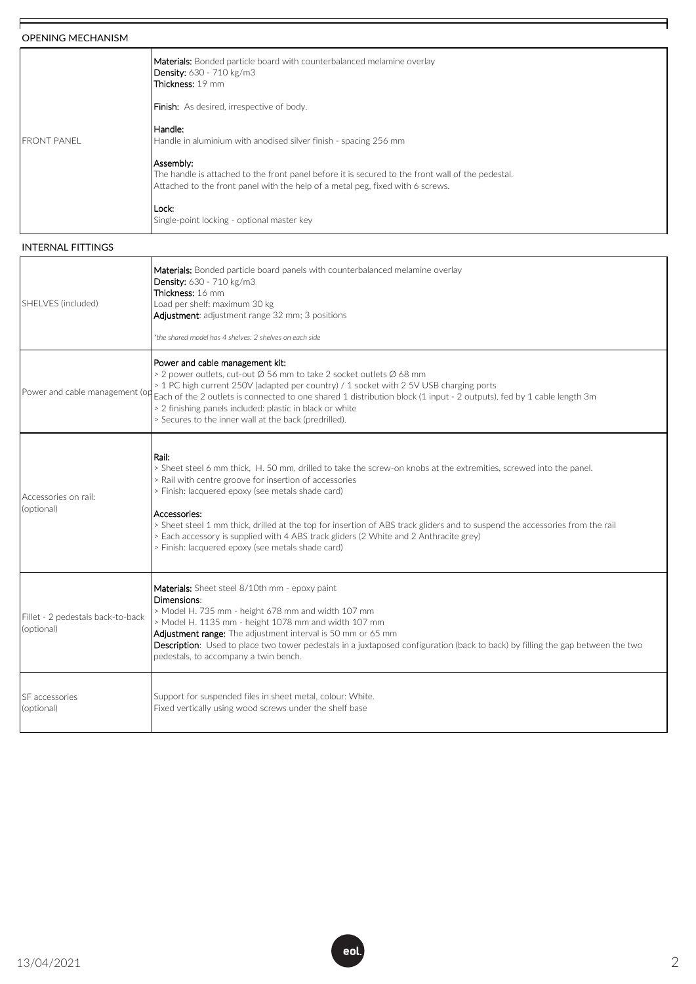## OPENING MECHANISM

F

|                    | <b>Materials:</b> Bonded particle board with counterbalanced melamine overlay<br><b>Density:</b> 630 - 710 kg/m3<br>Thickness: 19 mm                                                             |
|--------------------|--------------------------------------------------------------------------------------------------------------------------------------------------------------------------------------------------|
|                    | <b>Finish:</b> As desired, irrespective of body.                                                                                                                                                 |
| <b>FRONT PANEL</b> | Handle:<br>Handle in aluminium with anodised silver finish - spacing 256 mm                                                                                                                      |
|                    | Assembly:<br>The handle is attached to the front panel before it is secured to the front wall of the pedestal.<br>Attached to the front panel with the help of a metal peg, fixed with 6 screws. |
|                    | Lock:<br>Single-point locking - optional master key                                                                                                                                              |

## INTERNAL FITTINGS

| SHELVES (included)                                                                                                                                                                                                                                                                                                                                                                                                                                                               | <b>Materials:</b> Bonded particle board panels with counterbalanced melamine overlay<br>Density: 630 - 710 kg/m3<br>Thickness: 16 mm<br>Load per shelf: maximum 30 kg<br>Adjustment: adjustment range 32 mm; 3 positions<br>*the shared model has 4 shelves: 2 shelves on each side                                                                                                                                                                                                                                                      |  |
|----------------------------------------------------------------------------------------------------------------------------------------------------------------------------------------------------------------------------------------------------------------------------------------------------------------------------------------------------------------------------------------------------------------------------------------------------------------------------------|------------------------------------------------------------------------------------------------------------------------------------------------------------------------------------------------------------------------------------------------------------------------------------------------------------------------------------------------------------------------------------------------------------------------------------------------------------------------------------------------------------------------------------------|--|
| Power and cable management kit:<br>> 2 power outlets, cut-out Ø 56 mm to take 2 socket outlets Ø 68 mm<br>> 1 PC high current 250V (adapted per country) / 1 socket with 2 5V USB charging ports<br>Power and cable management (op<br>Each of the 2 outlets is connected to one shared 1 distribution block (1 input - 2 outputs), fed by 1 cable length 3m<br>> 2 finishing panels included: plastic in black or white<br>> Secures to the inner wall at the back (predrilled). |                                                                                                                                                                                                                                                                                                                                                                                                                                                                                                                                          |  |
| Accessories on rail:<br>(optional)                                                                                                                                                                                                                                                                                                                                                                                                                                               | Rail:<br>> Sheet steel 6 mm thick, H. 50 mm, drilled to take the screw-on knobs at the extremities, screwed into the panel.<br>> Rail with centre groove for insertion of accessories<br>> Finish: lacquered epoxy (see metals shade card)<br>Accessories:<br>> Sheet steel 1 mm thick, drilled at the top for insertion of ABS track gliders and to suspend the accessories from the rail<br>> Each accessory is supplied with 4 ABS track gliders (2 White and 2 Anthracite grey)<br>> Finish: lacquered epoxy (see metals shade card) |  |
| Fillet - 2 pedestals back-to-back<br>(optional)                                                                                                                                                                                                                                                                                                                                                                                                                                  | Materials: Sheet steel 8/10th mm - epoxy paint<br>Dimensions:<br>> Model H. 735 mm - height 678 mm and width 107 mm<br>> Model H. 1135 mm - height 1078 mm and width 107 mm<br>Adjustment range: The adjustment interval is 50 mm or 65 mm<br>Description: Used to place two tower pedestals in a juxtaposed configuration (back to back) by filling the gap between the two<br>pedestals, to accompany a twin bench.                                                                                                                    |  |
| SF accessories<br>(optional)                                                                                                                                                                                                                                                                                                                                                                                                                                                     | Support for suspended files in sheet metal, colour: White.<br>Fixed vertically using wood screws under the shelf base                                                                                                                                                                                                                                                                                                                                                                                                                    |  |